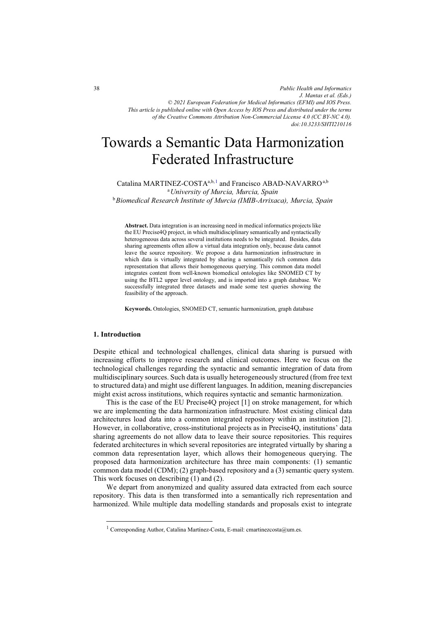*Public Health and Informatics J. Mantas et al. (Eds.) © 2021 European Federation for Medical Informatics (EFMI) and IOS Press. This article is published online with Open Access by IOS Press and distributed under the terms of the Creative Commons Attribution Non-Commercial License 4.0 (CC BY-NC 4.0). doi:10.3233/SHTI210116*

# Towards a Semantic Data Harmonization Federated Infrastructure

Catalina MARTINEZ-COSTA<sup>a,b,1</sup> and Francisco ABAD-NAVARRO<sup>a,b</sup> <sup>a</sup>*University of Murcia, Murcia, Spain*  <sup>b</sup>*Biomedical Research Institute of Murcia (IMIB-Arrixaca), Murcia, Spain* 

**Abstract.** Data integration is an increasing need in medical informatics projects like the EU Precise4Q project, in which multidisciplinary semantically and syntactically heterogeneous data across several institutions needs to be integrated. Besides, data sharing agreements often allow a virtual data integration only, because data cannot leave the source repository. We propose a data harmonization infrastructure in which data is virtually integrated by sharing a semantically rich common data representation that allows their homogeneous querying. This common data model integrates content from well-known biomedical ontologies like SNOMED CT by using the BTL2 upper level ontology, and is imported into a graph database. We successfully integrated three datasets and made some test queries showing the feasibility of the approach.

**Keywords.** Ontologies, SNOMED CT, semantic harmonization, graph database

# **1. Introduction**

-

Despite ethical and technological challenges, clinical data sharing is pursued with increasing efforts to improve research and clinical outcomes. Here we focus on the technological challenges regarding the syntactic and semantic integration of data from multidisciplinary sources. Such data is usually heterogeneously structured (from free text to structured data) and might use different languages. In addition, meaning discrepancies might exist across institutions, which requires syntactic and semantic harmonization.

This is the case of the EU Precise4Q project [1] on stroke management, for which we are implementing the data harmonization infrastructure. Most existing clinical data architectures load data into a common integrated repository within an institution [2]. However, in collaborative, cross-institutional projects as in Precise4Q, institutions' data sharing agreements do not allow data to leave their source repositories. This requires federated architectures in which several repositories are integrated virtually by sharing a common data representation layer, which allows their homogeneous querying. The proposed data harmonization architecture has three main components: (1) semantic common data model (CDM); (2) graph-based repository and a (3) semantic query system. This work focuses on describing (1) and (2).

We depart from anonymized and quality assured data extracted from each source repository. This data is then transformed into a semantically rich representation and harmonized. While multiple data modelling standards and proposals exist to integrate

<sup>&</sup>lt;sup>1</sup> Corresponding Author, Catalina Martínez-Costa, E-mail: cmartinezcosta@um.es.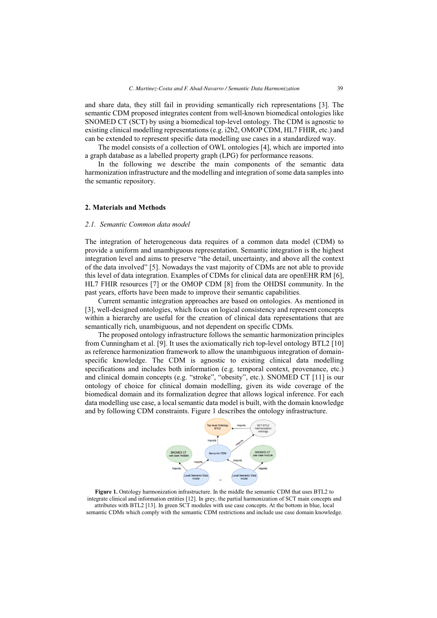and share data, they still fail in providing semantically rich representations [3]. The semantic CDM proposed integrates content from well-known biomedical ontologies like SNOMED CT (SCT) by using a biomedical top-level ontology. The CDM is agnostic to existing clinical modelling representations (e.g. i2b2, OMOP CDM, HL7 FHIR, etc.) and can be extended to represent specific data modelling use cases in a standardized way.

The model consists of a collection of OWL ontologies [4], which are imported into a graph database as a labelled property graph (LPG) for performance reasons.

In the following we describe the main components of the semantic data harmonization infrastructure and the modelling and integration of some data samples into the semantic repository.

### **2. Materials and Methods**

#### *2.1. Semantic Common data model*

The integration of heterogeneous data requires of a common data model (CDM) to provide a uniform and unambiguous representation. Semantic integration is the highest integration level and aims to preserve "the detail, uncertainty, and above all the context of the data involved" [5]. Nowadays the vast majority of CDMs are not able to provide this level of data integration. Examples of CDMs for clinical data are openEHR RM [6], HL7 FHIR resources [7] or the OMOP CDM [8] from the OHDSI community. In the past years, efforts have been made to improve their semantic capabilities.

Current semantic integration approaches are based on ontologies. As mentioned in [3], well-designed ontologies, which focus on logical consistency and represent concepts within a hierarchy are useful for the creation of clinical data representations that are semantically rich, unambiguous, and not dependent on specific CDMs.

The proposed ontology infrastructure follows the semantic harmonization principles from Cunningham et al. [9]. It uses the axiomatically rich top-level ontology BTL2 [10] as reference harmonization framework to allow the unambiguous integration of domainspecific knowledge. The CDM is agnostic to existing clinical data modelling specifications and includes both information (e.g. temporal context, provenance, etc.) and clinical domain concepts (e.g. "stroke", "obesity", etc.). SNOMED CT [11] is our ontology of choice for clinical domain modelling, given its wide coverage of the biomedical domain and its formalization degree that allows logical inference. For each data modelling use case, a local semantic data model is built, with the domain knowledge and by following CDM constraints. Figure 1 describes the ontology infrastructure.



**Figure 1.** Ontology harmonization infrastructure. In the middle the semantic CDM that uses BTL2 to integrate clinical and information entities [12]. In grey, the partial harmonization of SCT main concepts and attributes with BTL2 [13]. In green SCT modules with use case concepts. At the bottom in blue, local semantic CDMs which comply with the semantic CDM restrictions and include use case domain knowledge.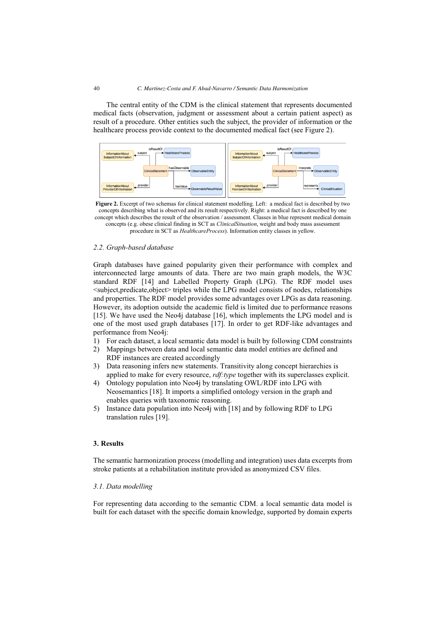The central entity of the CDM is the clinical statement that represents documented medical facts (observation, judgment or assessment about a certain patient aspect) as result of a procedure. Other entities such the subject, the provider of information or the healthcare process provide context to the documented medical fact (see Figure 2).



**Figure 2.** Excerpt of two schemas for clinical statement modelling. Left: a medical fact is described by two concepts describing what is observed and its result respectively. Right: a medical fact is described by one concept which describes the result of the observation / assessment. Classes in blue represent medical domain concepts (e.g. obese clinical finding in SCT as *ClinicalSituation*, weight and body mass assessment procedure in SCT as *HealthcareProcess*). Information entity classes in yellow.

# *2.2. Graph-based database*

Graph databases have gained popularity given their performance with complex and interconnected large amounts of data. There are two main graph models, the W3C standard RDF [14] and Labelled Property Graph (LPG). The RDF model uses <subject,predicate,object> triples while the LPG model consists of nodes, relationships and properties. The RDF model provides some advantages over LPGs as data reasoning. However, its adoption outside the academic field is limited due to performance reasons [15]. We have used the Neo4j database [16], which implements the LPG model and is one of the most used graph databases [17]. In order to get RDF-like advantages and performance from Neo4j:

- 1) For each dataset, a local semantic data model is built by following CDM constraints
- 2) Mappings between data and local semantic data model entities are defined and RDF instances are created accordingly
- 3) Data reasoning infers new statements. Transitivity along concept hierarchies is applied to make for every resource, *rdf:type* together with its superclasses explicit.
- 4) Ontology population into Neo4j by translating OWL/RDF into LPG with Neosemantics [18]. It imports a simplified ontology version in the graph and enables queries with taxonomic reasoning.
- 5) Instance data population into Neo4j with [18] and by following RDF to LPG translation rules [19].

## **3. Results**

The semantic harmonization process (modelling and integration) uses data excerpts from stroke patients at a rehabilitation institute provided as anonymized CSV files.

### *3.1. Data modelling*

For representing data according to the semantic CDM. a local semantic data model is built for each dataset with the specific domain knowledge, supported by domain experts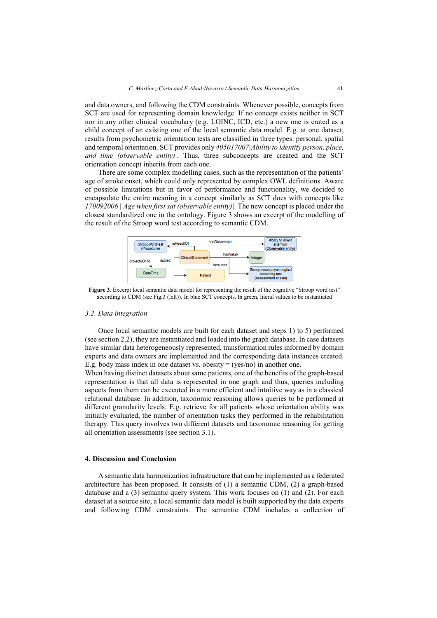and data owners, and following the CDM constraints. Whenever possible, concepts from SCT are used for representing domain knowledge. If no concept exists neither in SCT nor in any other clinical vocabulary (e.g. LOINC, ICD, etc.) a new one is crated as a child concept of an existing one of the local semantic data model. E.g. at one dataset, results from psychometric orientation tests are classified in three types: personal, spatial and temporal orientation. SCT provides only *405017007|Ability to identify person, place, and time (observable entity)|.* Thus, three subconcepts are created and the SCT orientation concept inherits from each one.

There are some complex modelling cases, such as the representation of the patients' age of stroke onset, which could only represented by complex OWL definitions. Aware of possible limitations but in favor of performance and functionality, we decided to encapsulate the entire meaning in a concept similarly as SCT does with concepts like *170092006 | Age when first sat (observable entity)|.* The new concept is placed under the closest standardized one in the ontology. Figure 3 shows an excerpt of the modelling of the result of the Stroop word test according to semantic CDM.



**Figure 3.** Excerpt local semantic data model for representing the result of the cognitive "Stroop word test" according to CDM (see Fig.3 (left)). In blue SCT concepts. In green, literal values to be instantiated

#### *3.2. Data integration*

Once local semantic models are built for each dataset and steps 1) to 5) performed (see section 2.2), they are instantiated and loaded into the graph database. In case datasets have similar data heterogeneously represented, transformation rules informed by domain experts and data owners are implemented and the corresponding data instances created. E.g. body mass index in one dataset vs. obesity  $=$  (yes/no) in another one.

When having distinct datasets about same patients, one of the benefits of the graph-based representation is that all data is represented in one graph and thus, queries including aspects from them can be executed in a more efficient and intuitive way as in a classical relational database. In addition, taxonomic reasoning allows queries to be performed at different granularity levels: E.g. retrieve for all patients whose orientation ability was initially evaluated, the number of orientation tasks they performed in the rehabilitation therapy. This query involves two different datasets and taxonomic reasoning for getting all orientation assessments (see section 3.1).

## **4. Discussion and Conclusion**

A semantic data harmonization infrastructure that can be implemented as a federated architecture has been proposed. It consists of (1) a semantic CDM, (2) a graph-based database and a (3) semantic query system. This work focuses on (1) and (2). For each dataset at a source site, a local semantic data model is built supported by the data experts and following CDM constraints. The semantic CDM includes a collection of